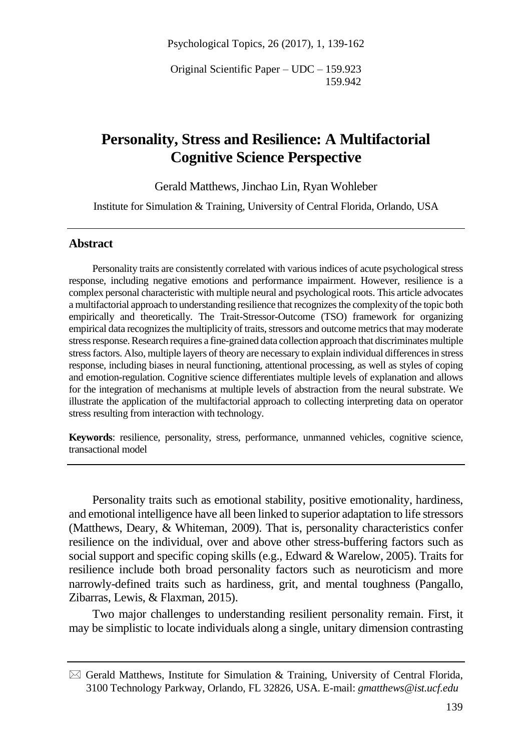Psychological Topics, 26 (2017), 1, 139-162

Original Scientific Paper – UDC – 159.923 159.942

# **Personality, Stress and Resilience: A Multifactorial Cognitive Science Perspective**

Gerald Matthews, Jinchao Lin, Ryan Wohleber

Institute for Simulation & Training, University of Central Florida, Orlando, USA

## **Abstract**

Personality traits are consistently correlated with various indices of acute psychological stress response, including negative emotions and performance impairment. However, resilience is a complex personal characteristic with multiple neural and psychological roots. This article advocates a multifactorial approach to understanding resilience that recognizes the complexity of the topic both empirically and theoretically. The Trait-Stressor-Outcome (TSO) framework for organizing empirical data recognizes the multiplicity of traits, stressors and outcome metrics that may moderate stress response. Research requires a fine-grained data collection approach that discriminates multiple stress factors. Also, multiple layers of theory are necessary to explain individual differences in stress response, including biases in neural functioning, attentional processing, as well as styles of coping and emotion-regulation. Cognitive science differentiates multiple levels of explanation and allows for the integration of mechanisms at multiple levels of abstraction from the neural substrate. We illustrate the application of the multifactorial approach to collecting interpreting data on operator stress resulting from interaction with technology.

**Keywords**: resilience, personality, stress, performance, unmanned vehicles, cognitive science, transactional model

Personality traits such as emotional stability, positive emotionality, hardiness, and emotional intelligence have all been linked to superior adaptation to life stressors (Matthews, Deary, & Whiteman, 2009). That is, personality characteristics confer resilience on the individual, over and above other stress-buffering factors such as social support and specific coping skills (e.g., Edward & Warelow, 2005). Traits for resilience include both broad personality factors such as neuroticism and more narrowly-defined traits such as hardiness, grit, and mental toughness (Pangallo, Zibarras, Lewis, & Flaxman, 2015).

Two major challenges to understanding resilient personality remain. First, it may be simplistic to locate individuals along a single, unitary dimension contrasting

 $\boxtimes$  Gerald Matthews, Institute for Simulation & Training, University of Central Florida, 3100 Technology Parkway, Orlando, FL 32826, USA. E-mail: *gmatthews@ist.ucf.edu*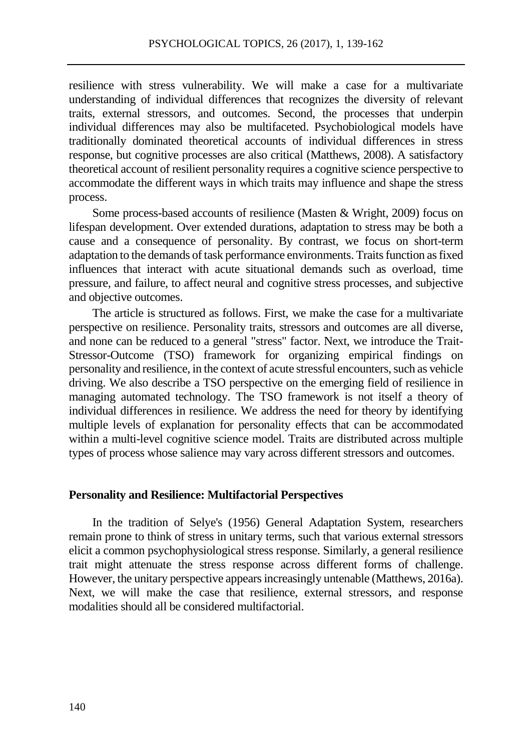resilience with stress vulnerability. We will make a case for a multivariate understanding of individual differences that recognizes the diversity of relevant traits, external stressors, and outcomes. Second, the processes that underpin individual differences may also be multifaceted. Psychobiological models have traditionally dominated theoretical accounts of individual differences in stress response, but cognitive processes are also critical (Matthews, 2008). A satisfactory theoretical account of resilient personality requires a cognitive science perspective to accommodate the different ways in which traits may influence and shape the stress process.

Some process-based accounts of resilience (Masten & Wright, 2009) focus on lifespan development. Over extended durations, adaptation to stress may be both a cause and a consequence of personality. By contrast, we focus on short-term adaptation to the demands of task performance environments. Traits function as fixed influences that interact with acute situational demands such as overload, time pressure, and failure, to affect neural and cognitive stress processes, and subjective and objective outcomes.

The article is structured as follows. First, we make the case for a multivariate perspective on resilience. Personality traits, stressors and outcomes are all diverse, and none can be reduced to a general "stress" factor. Next, we introduce the Trait-Stressor-Outcome (TSO) framework for organizing empirical findings on personality and resilience, in the context of acute stressful encounters, such as vehicle driving. We also describe a TSO perspective on the emerging field of resilience in managing automated technology. The TSO framework is not itself a theory of individual differences in resilience. We address the need for theory by identifying multiple levels of explanation for personality effects that can be accommodated within a multi-level cognitive science model. Traits are distributed across multiple types of process whose salience may vary across different stressors and outcomes.

#### **Personality and Resilience: Multifactorial Perspectives**

In the tradition of Selye's (1956) General Adaptation System, researchers remain prone to think of stress in unitary terms, such that various external stressors elicit a common psychophysiological stress response. Similarly, a general resilience trait might attenuate the stress response across different forms of challenge. However, the unitary perspective appears increasingly untenable (Matthews, 2016a). Next, we will make the case that resilience, external stressors, and response modalities should all be considered multifactorial.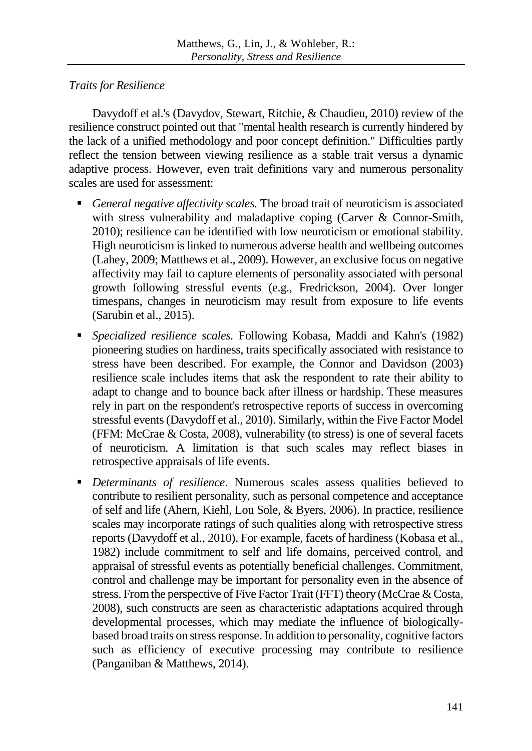# *Traits for Resilience*

Davydoff et al.'s (Davydov, Stewart, Ritchie, & Chaudieu, 2010) review of the resilience construct pointed out that "mental health research is currently hindered by the lack of a unified methodology and poor concept definition." Difficulties partly reflect the tension between viewing resilience as a stable trait versus a dynamic adaptive process. However, even trait definitions vary and numerous personality scales are used for assessment:

- *General negative affectivity scales.* The broad trait of neuroticism is associated with stress vulnerability and maladaptive coping (Carver & Connor-Smith, 2010); resilience can be identified with low neuroticism or emotional stability. High neuroticism is linked to numerous adverse health and wellbeing outcomes (Lahey, 2009; Matthews et al., 2009). However, an exclusive focus on negative affectivity may fail to capture elements of personality associated with personal growth following stressful events (e.g., Fredrickson, 2004). Over longer timespans, changes in neuroticism may result from exposure to life events (Sarubin et al., 2015).
- *Specialized resilience scales.* Following Kobasa, Maddi and Kahn's (1982) pioneering studies on hardiness, traits specifically associated with resistance to stress have been described. For example, the Connor and Davidson (2003) resilience scale includes items that ask the respondent to rate their ability to adapt to change and to bounce back after illness or hardship. These measures rely in part on the respondent's retrospective reports of success in overcoming stressful events (Davydoff et al., 2010). Similarly, within the Five Factor Model (FFM: McCrae & Costa, 2008), vulnerability (to stress) is one of several facets of neuroticism. A limitation is that such scales may reflect biases in retrospective appraisals of life events.
- *Determinants of resilience*. Numerous scales assess qualities believed to contribute to resilient personality, such as personal competence and acceptance of self and life (Ahern, Kiehl, Lou Sole, & Byers, 2006). In practice, resilience scales may incorporate ratings of such qualities along with retrospective stress reports (Davydoff et al., 2010). For example, facets of hardiness (Kobasa et al., 1982) include commitment to self and life domains, perceived control, and appraisal of stressful events as potentially beneficial challenges. Commitment, control and challenge may be important for personality even in the absence of stress. From the perspective of Five Factor Trait (FFT) theory (McCrae & Costa, 2008), such constructs are seen as characteristic adaptations acquired through developmental processes, which may mediate the influence of biologicallybased broad traits on stress response.In addition to personality, cognitive factors such as efficiency of executive processing may contribute to resilience (Panganiban & Matthews, 2014).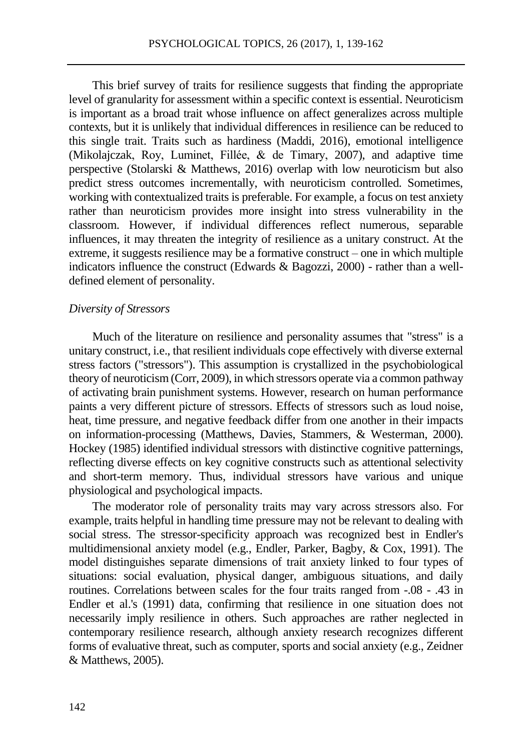This brief survey of traits for resilience suggests that finding the appropriate level of granularity for assessment within a specific context is essential. Neuroticism is important as a broad trait whose influence on affect generalizes across multiple contexts, but it is unlikely that individual differences in resilience can be reduced to this single trait. Traits such as hardiness (Maddi, 2016), emotional intelligence (Mikolajczak, Roy, Luminet, Fillée, & de Timary, 2007), and adaptive time perspective (Stolarski & Matthews, 2016) overlap with low neuroticism but also predict stress outcomes incrementally, with neuroticism controlled. Sometimes, working with contextualized traits is preferable. For example, a focus on test anxiety rather than neuroticism provides more insight into stress vulnerability in the classroom. However, if individual differences reflect numerous, separable influences, it may threaten the integrity of resilience as a unitary construct. At the extreme, it suggests resilience may be a formative construct – one in which multiple indicators influence the construct (Edwards & Bagozzi, 2000) - rather than a welldefined element of personality.

### *Diversity of Stressors*

Much of the literature on resilience and personality assumes that "stress" is a unitary construct, i.e., that resilient individuals cope effectively with diverse external stress factors ("stressors"). This assumption is crystallized in the psychobiological theory of neuroticism (Corr, 2009), in which stressors operate via a common pathway of activating brain punishment systems. However, research on human performance paints a very different picture of stressors. Effects of stressors such as loud noise, heat, time pressure, and negative feedback differ from one another in their impacts on information-processing (Matthews, Davies, Stammers, & Westerman, 2000). Hockey (1985) identified individual stressors with distinctive cognitive patternings, reflecting diverse effects on key cognitive constructs such as attentional selectivity and short-term memory. Thus, individual stressors have various and unique physiological and psychological impacts.

The moderator role of personality traits may vary across stressors also. For example, traits helpful in handling time pressure may not be relevant to dealing with social stress. The stressor-specificity approach was recognized best in Endler's multidimensional anxiety model (e.g., Endler, Parker, Bagby, & Cox, 1991). The model distinguishes separate dimensions of trait anxiety linked to four types of situations: social evaluation, physical danger, ambiguous situations, and daily routines. Correlations between scales for the four traits ranged from -.08 - .43 in Endler et al.'s (1991) data, confirming that resilience in one situation does not necessarily imply resilience in others. Such approaches are rather neglected in contemporary resilience research, although anxiety research recognizes different forms of evaluative threat, such as computer, sports and social anxiety (e.g., Zeidner & Matthews, 2005).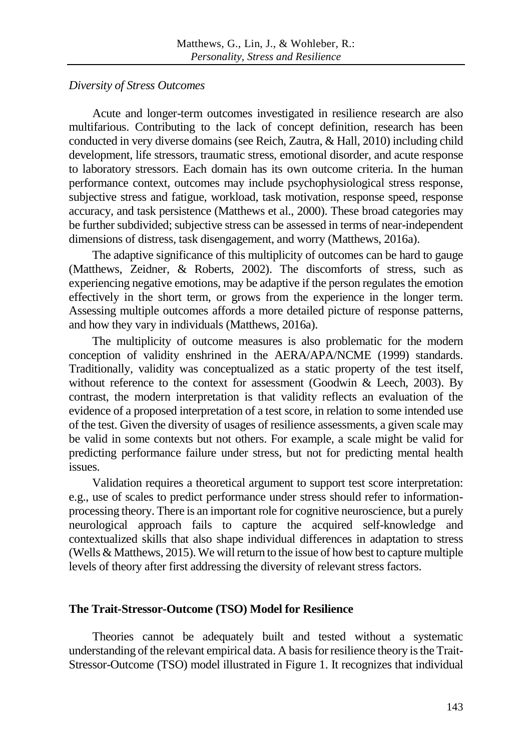## *Diversity of Stress Outcomes*

Acute and longer-term outcomes investigated in resilience research are also multifarious. Contributing to the lack of concept definition, research has been conducted in very diverse domains (see Reich, Zautra, & Hall, 2010) including child development, life stressors, traumatic stress, emotional disorder, and acute response to laboratory stressors. Each domain has its own outcome criteria. In the human performance context, outcomes may include psychophysiological stress response, subjective stress and fatigue, workload, task motivation, response speed, response accuracy, and task persistence (Matthews et al., 2000). These broad categories may be further subdivided; subjective stress can be assessed in terms of near-independent dimensions of distress, task disengagement, and worry (Matthews, 2016a).

The adaptive significance of this multiplicity of outcomes can be hard to gauge (Matthews, Zeidner, & Roberts, 2002). The discomforts of stress, such as experiencing negative emotions, may be adaptive if the person regulates the emotion effectively in the short term, or grows from the experience in the longer term. Assessing multiple outcomes affords a more detailed picture of response patterns, and how they vary in individuals (Matthews, 2016a).

The multiplicity of outcome measures is also problematic for the modern conception of validity enshrined in the AERA/APA/NCME (1999) standards. Traditionally, validity was conceptualized as a static property of the test itself, without reference to the context for assessment (Goodwin & Leech, 2003). By contrast, the modern interpretation is that validity reflects an evaluation of the evidence of a proposed interpretation of a test score, in relation to some intended use of the test. Given the diversity of usages of resilience assessments, a given scale may be valid in some contexts but not others. For example, a scale might be valid for predicting performance failure under stress, but not for predicting mental health issues.

Validation requires a theoretical argument to support test score interpretation: e.g., use of scales to predict performance under stress should refer to informationprocessing theory. There is an important role for cognitive neuroscience, but a purely neurological approach fails to capture the acquired self-knowledge and contextualized skills that also shape individual differences in adaptation to stress (Wells & Matthews, 2015). We will return to the issue of how best to capture multiple levels of theory after first addressing the diversity of relevant stress factors.

## **The Trait-Stressor-Outcome (TSO) Model for Resilience**

Theories cannot be adequately built and tested without a systematic understanding of the relevant empirical data. A basis for resilience theory is the Trait-Stressor-Outcome (TSO) model illustrated in Figure 1. It recognizes that individual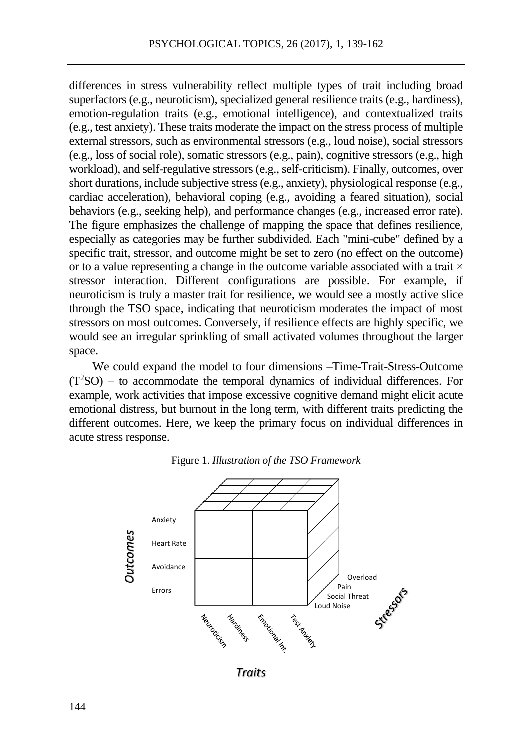differences in stress vulnerability reflect multiple types of trait including broad superfactors (e.g., neuroticism), specialized general resilience traits (e.g., hardiness), emotion-regulation traits (e.g., emotional intelligence), and contextualized traits (e.g., test anxiety). These traits moderate the impact on the stress process of multiple external stressors, such as environmental stressors (e.g., loud noise), social stressors (e.g., loss of social role), somatic stressors (e.g., pain), cognitive stressors (e.g., high workload), and self-regulative stressors (e.g., self-criticism). Finally, outcomes, over short durations, include subjective stress (e.g., anxiety), physiological response (e.g., cardiac acceleration), behavioral coping (e.g., avoiding a feared situation), social behaviors (e.g., seeking help), and performance changes (e.g., increased error rate). The figure emphasizes the challenge of mapping the space that defines resilience, especially as categories may be further subdivided. Each "mini-cube" defined by a specific trait, stressor, and outcome might be set to zero (no effect on the outcome) or to a value representing a change in the outcome variable associated with a trait  $\times$ stressor interaction. Different configurations are possible. For example, if neuroticism is truly a master trait for resilience, we would see a mostly active slice through the TSO space, indicating that neuroticism moderates the impact of most stressors on most outcomes. Conversely, if resilience effects are highly specific, we would see an irregular sprinkling of small activated volumes throughout the larger space.

We could expand the model to four dimensions –Time-Trait-Stress-Outcome  $(T<sup>2</sup>SO)$  – to accommodate the temporal dynamics of individual differences. For example, work activities that impose excessive cognitive demand might elicit acute emotional distress, but burnout in the long term, with different traits predicting the different outcomes. Here, we keep the primary focus on individual differences in acute stress response.



Figure 1. *Illustration of the TSO Framework*

**Traits**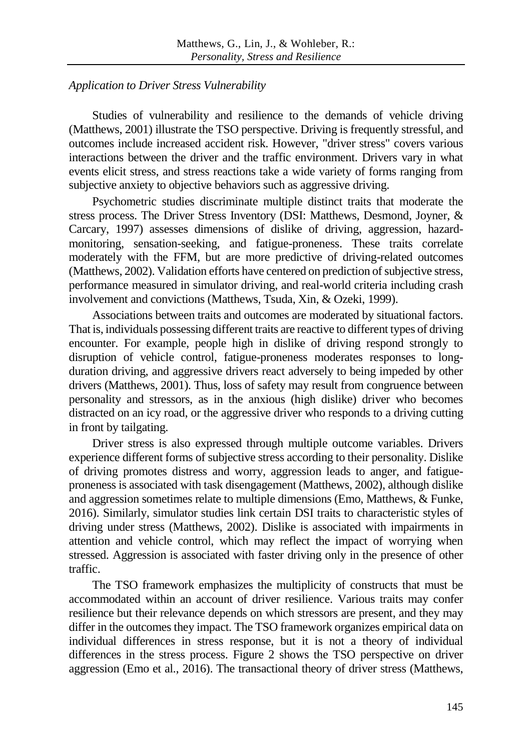# *Application to Driver Stress Vulnerability*

Studies of vulnerability and resilience to the demands of vehicle driving (Matthews, 2001) illustrate the TSO perspective. Driving is frequently stressful, and outcomes include increased accident risk. However, "driver stress" covers various interactions between the driver and the traffic environment. Drivers vary in what events elicit stress, and stress reactions take a wide variety of forms ranging from subjective anxiety to objective behaviors such as aggressive driving.

Psychometric studies discriminate multiple distinct traits that moderate the stress process. The Driver Stress Inventory (DSI: Matthews, Desmond, Joyner, & Carcary, 1997) assesses dimensions of dislike of driving, aggression, hazardmonitoring, sensation-seeking, and fatigue-proneness. These traits correlate moderately with the FFM, but are more predictive of driving-related outcomes (Matthews, 2002). Validation efforts have centered on prediction of subjective stress, performance measured in simulator driving, and real-world criteria including crash involvement and convictions (Matthews, Tsuda, Xin, & Ozeki, 1999).

Associations between traits and outcomes are moderated by situational factors. That is, individuals possessing different traits are reactive to different types of driving encounter. For example, people high in dislike of driving respond strongly to disruption of vehicle control, fatigue-proneness moderates responses to longduration driving, and aggressive drivers react adversely to being impeded by other drivers (Matthews, 2001). Thus, loss of safety may result from congruence between personality and stressors, as in the anxious (high dislike) driver who becomes distracted on an icy road, or the aggressive driver who responds to a driving cutting in front by tailgating.

Driver stress is also expressed through multiple outcome variables. Drivers experience different forms of subjective stress according to their personality. Dislike of driving promotes distress and worry, aggression leads to anger, and fatigueproneness is associated with task disengagement (Matthews, 2002), although dislike and aggression sometimes relate to multiple dimensions (Emo, Matthews, & Funke, 2016). Similarly, simulator studies link certain DSI traits to characteristic styles of driving under stress (Matthews, 2002). Dislike is associated with impairments in attention and vehicle control, which may reflect the impact of worrying when stressed. Aggression is associated with faster driving only in the presence of other traffic.

The TSO framework emphasizes the multiplicity of constructs that must be accommodated within an account of driver resilience. Various traits may confer resilience but their relevance depends on which stressors are present, and they may differ in the outcomes they impact. The TSO framework organizes empirical data on individual differences in stress response, but it is not a theory of individual differences in the stress process. Figure 2 shows the TSO perspective on driver aggression (Emo et al., 2016). The transactional theory of driver stress (Matthews,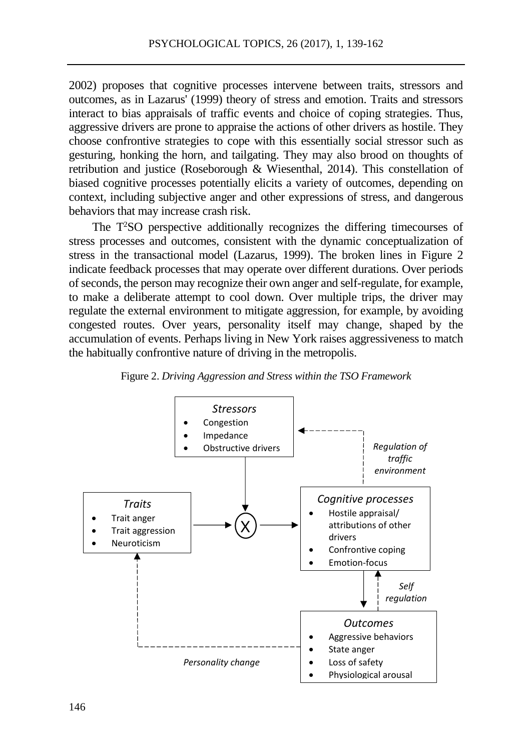2002) proposes that cognitive processes intervene between traits, stressors and outcomes, as in Lazarus' (1999) theory of stress and emotion. Traits and stressors interact to bias appraisals of traffic events and choice of coping strategies. Thus, aggressive drivers are prone to appraise the actions of other drivers as hostile. They choose confrontive strategies to cope with this essentially social stressor such as gesturing, honking the horn, and tailgating. They may also brood on thoughts of retribution and justice (Roseborough & Wiesenthal, 2014). This constellation of biased cognitive processes potentially elicits a variety of outcomes, depending on context, including subjective anger and other expressions of stress, and dangerous behaviors that may increase crash risk.

The T<sup>2</sup>SO perspective additionally recognizes the differing timecourses of stress processes and outcomes, consistent with the dynamic conceptualization of stress in the transactional model (Lazarus, 1999). The broken lines in Figure 2 indicate feedback processes that may operate over different durations. Over periods of seconds, the person may recognize their own anger and self-regulate, for example, to make a deliberate attempt to cool down. Over multiple trips, the driver may regulate the external environment to mitigate aggression, for example, by avoiding congested routes. Over years, personality itself may change, shaped by the accumulation of events. Perhaps living in New York raises aggressiveness to match the habitually confrontive nature of driving in the metropolis.



Figure 2. *Driving Aggression and Stress within the TSO Framework*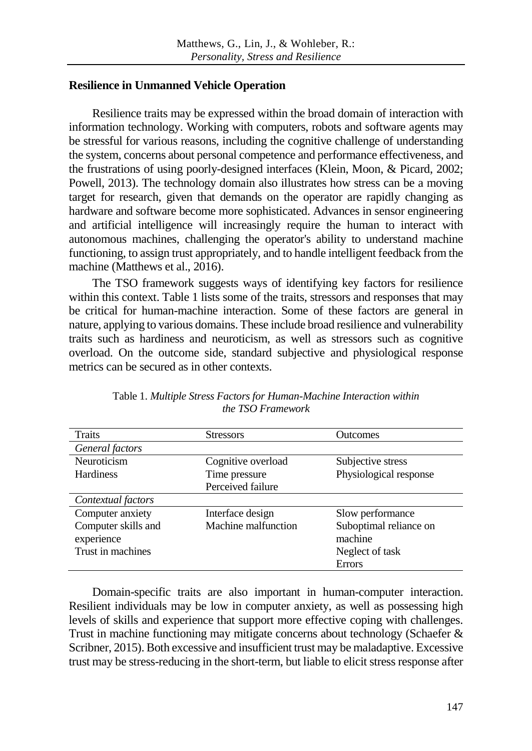## **Resilience in Unmanned Vehicle Operation**

Resilience traits may be expressed within the broad domain of interaction with information technology. Working with computers, robots and software agents may be stressful for various reasons, including the cognitive challenge of understanding the system, concerns about personal competence and performance effectiveness, and the frustrations of using poorly-designed interfaces (Klein, Moon, & Picard, 2002; Powell, 2013). The technology domain also illustrates how stress can be a moving target for research, given that demands on the operator are rapidly changing as hardware and software become more sophisticated. Advances in sensor engineering and artificial intelligence will increasingly require the human to interact with autonomous machines, challenging the operator's ability to understand machine functioning, to assign trust appropriately, and to handle intelligent feedback from the machine (Matthews et al., 2016).

The TSO framework suggests ways of identifying key factors for resilience within this context. Table 1 lists some of the traits, stressors and responses that may be critical for human-machine interaction. Some of these factors are general in nature, applying to various domains. These include broad resilience and vulnerability traits such as hardiness and neuroticism, as well as stressors such as cognitive overload. On the outcome side, standard subjective and physiological response metrics can be secured as in other contexts.

| <b>Traits</b>       | <b>Stressors</b>    | <b>Outcomes</b>                            |  |
|---------------------|---------------------|--------------------------------------------|--|
| General factors     |                     |                                            |  |
| Neuroticism         | Cognitive overload  | Subjective stress                          |  |
| <b>Hardiness</b>    | Time pressure       | Physiological response                     |  |
|                     | Perceived failure   |                                            |  |
| Contextual factors  |                     |                                            |  |
| Computer anxiety    | Interface design    | Slow performance<br>Suboptimal reliance on |  |
| Computer skills and | Machine malfunction |                                            |  |
| experience          |                     | machine                                    |  |
| Trust in machines   |                     | Neglect of task                            |  |
|                     |                     | <b>Errors</b>                              |  |

| Table 1. Multiple Stress Factors for Human-Machine Interaction within |  |
|-----------------------------------------------------------------------|--|
| <i>the TSO Framework</i>                                              |  |

Domain-specific traits are also important in human-computer interaction. Resilient individuals may be low in computer anxiety, as well as possessing high levels of skills and experience that support more effective coping with challenges. Trust in machine functioning may mitigate concerns about technology (Schaefer & Scribner, 2015). Both excessive and insufficient trust may be maladaptive. Excessive trust may be stress-reducing in the short-term, but liable to elicit stress response after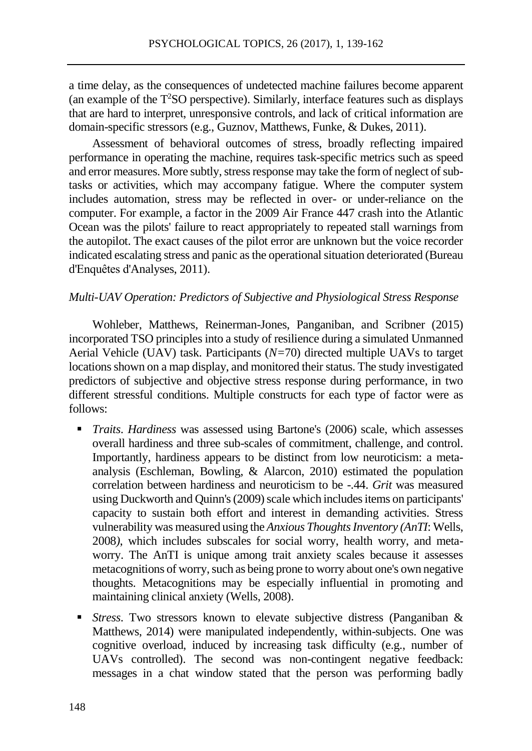a time delay, as the consequences of undetected machine failures become apparent (an example of the T<sup>2</sup>SO perspective). Similarly, interface features such as displays that are hard to interpret, unresponsive controls, and lack of critical information are domain-specific stressors (e.g., Guznov, Matthews, Funke, & Dukes, 2011).

Assessment of behavioral outcomes of stress, broadly reflecting impaired performance in operating the machine, requires task-specific metrics such as speed and error measures. More subtly, stress response may take the form of neglect of subtasks or activities, which may accompany fatigue. Where the computer system includes automation, stress may be reflected in over- or under-reliance on the computer. For example, a factor in the 2009 Air France 447 crash into the Atlantic Ocean was the pilots' failure to react appropriately to repeated stall warnings from the autopilot. The exact causes of the pilot error are unknown but the voice recorder indicated escalating stress and panic as the operational situation deteriorated (Bureau d'Enquêtes d'Analyses, 2011).

## *Multi-UAV Operation: Predictors of Subjective and Physiological Stress Response*

Wohleber, Matthews, Reinerman-Jones, Panganiban, and Scribner (2015) incorporated TSO principles into a study of resilience during a simulated Unmanned Aerial Vehicle (UAV) task. Participants (*N=*70) directed multiple UAVs to target locations shown on a map display, and monitored their status. The study investigated predictors of subjective and objective stress response during performance, in two different stressful conditions. Multiple constructs for each type of factor were as follows:

- *Traits*. *Hardiness* was assessed using Bartone's (2006) scale, which assesses overall hardiness and three sub-scales of commitment, challenge, and control. Importantly, hardiness appears to be distinct from low neuroticism: a metaanalysis (Eschleman, Bowling, & Alarcon, 2010) estimated the population correlation between hardiness and neuroticism to be -.44. *Grit* was measured using Duckworth and Quinn's (2009) scale which includes items on participants' capacity to sustain both effort and interest in demanding activities. Stress vulnerability was measured using the *Anxious Thoughts Inventory (AnTI*: Wells, 2008*)*, which includes subscales for social worry, health worry, and metaworry. The AnTI is unique among trait anxiety scales because it assesses metacognitions of worry, such as being prone to worry about one's own negative thoughts. Metacognitions may be especially influential in promoting and maintaining clinical anxiety (Wells, 2008).
- *Stress*. Two stressors known to elevate subjective distress (Panganiban & Matthews, 2014) were manipulated independently, within-subjects. One was cognitive overload, induced by increasing task difficulty (e.g., number of UAVs controlled). The second was non-contingent negative feedback: messages in a chat window stated that the person was performing badly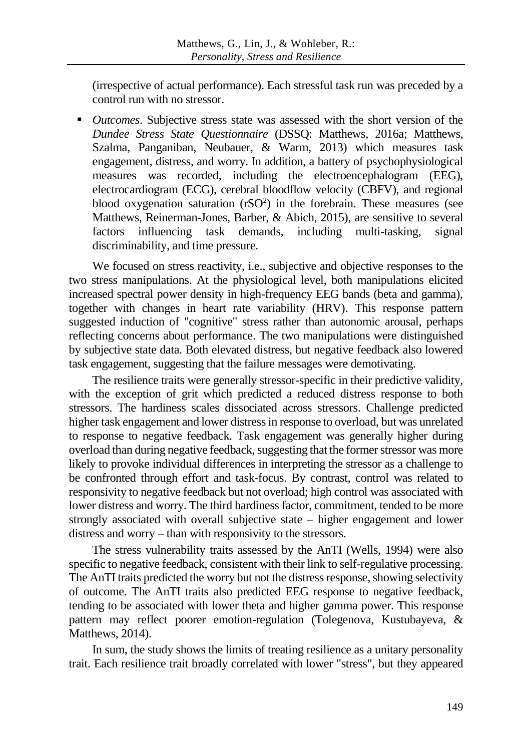(irrespective of actual performance). Each stressful task run was preceded by a control run with no stressor.

 *Outcomes*. Subjective stress state was assessed with the short version of the *Dundee Stress State Questionnaire* (DSSQ: Matthews, 2016a; Matthews, Szalma, Panganiban, Neubauer, & Warm, 2013) which measures task engagement, distress, and worry. In addition, a battery of psychophysiological measures was recorded, including the electroencephalogram (EEG), electrocardiogram (ECG), cerebral bloodflow velocity (CBFV), and regional blood oxygenation saturation  $(rSO<sup>2</sup>)$  in the forebrain. These measures (see Matthews, Reinerman-Jones, Barber, & Abich, 2015), are sensitive to several factors influencing task demands, including multi-tasking, signal discriminability, and time pressure.

We focused on stress reactivity, i.e., subjective and objective responses to the two stress manipulations. At the physiological level, both manipulations elicited increased spectral power density in high-frequency EEG bands (beta and gamma), together with changes in heart rate variability (HRV). This response pattern suggested induction of "cognitive" stress rather than autonomic arousal, perhaps reflecting concerns about performance. The two manipulations were distinguished by subjective state data. Both elevated distress, but negative feedback also lowered task engagement, suggesting that the failure messages were demotivating.

The resilience traits were generally stressor-specific in their predictive validity, with the exception of grit which predicted a reduced distress response to both stressors. The hardiness scales dissociated across stressors. Challenge predicted higher task engagement and lower distress in response to overload, but was unrelated to response to negative feedback. Task engagement was generally higher during overload than during negative feedback, suggesting that the former stressor was more likely to provoke individual differences in interpreting the stressor as a challenge to be confronted through effort and task-focus. By contrast, control was related to responsivity to negative feedback but not overload; high control was associated with lower distress and worry. The third hardiness factor, commitment, tended to be more strongly associated with overall subjective state – higher engagement and lower distress and worry – than with responsivity to the stressors.

The stress vulnerability traits assessed by the AnTI (Wells, 1994) were also specific to negative feedback, consistent with their link to self-regulative processing. The AnTI traits predicted the worry but not the distress response, showing selectivity of outcome. The AnTI traits also predicted EEG response to negative feedback, tending to be associated with lower theta and higher gamma power. This response pattern may reflect poorer emotion-regulation (Tolegenova, Kustubayeva, & Matthews, 2014).

In sum, the study shows the limits of treating resilience as a unitary personality trait. Each resilience trait broadly correlated with lower "stress", but they appeared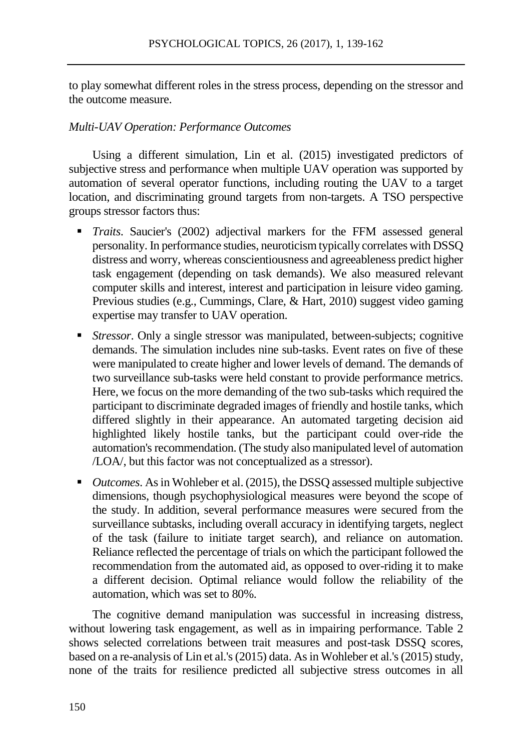to play somewhat different roles in the stress process, depending on the stressor and the outcome measure.

# *Multi-UAV Operation: Performance Outcomes*

Using a different simulation, Lin et al. (2015) investigated predictors of subjective stress and performance when multiple UAV operation was supported by automation of several operator functions, including routing the UAV to a target location, and discriminating ground targets from non-targets. A TSO perspective groups stressor factors thus:

- *Traits*. Saucier's (2002) adjectival markers for the FFM assessed general personality. In performance studies, neuroticism typically correlates with DSSQ distress and worry, whereas conscientiousness and agreeableness predict higher task engagement (depending on task demands). We also measured relevant computer skills and interest, interest and participation in leisure video gaming. Previous studies (e.g., Cummings, Clare, & Hart, 2010) suggest video gaming expertise may transfer to UAV operation.
- *Stressor*. Only a single stressor was manipulated, between-subjects; cognitive demands. The simulation includes nine sub-tasks. Event rates on five of these were manipulated to create higher and lower levels of demand. The demands of two surveillance sub-tasks were held constant to provide performance metrics. Here, we focus on the more demanding of the two sub-tasks which required the participant to discriminate degraded images of friendly and hostile tanks, which differed slightly in their appearance. An automated targeting decision aid highlighted likely hostile tanks, but the participant could over-ride the automation's recommendation. (The study also manipulated level of automation /LOA/, but this factor was not conceptualized as a stressor).
- *Outcomes*. As in Wohleber et al. (2015), the DSSQ assessed multiple subjective dimensions, though psychophysiological measures were beyond the scope of the study. In addition, several performance measures were secured from the surveillance subtasks, including overall accuracy in identifying targets, neglect of the task (failure to initiate target search), and reliance on automation. Reliance reflected the percentage of trials on which the participant followed the recommendation from the automated aid, as opposed to over-riding it to make a different decision. Optimal reliance would follow the reliability of the automation, which was set to 80%.

The cognitive demand manipulation was successful in increasing distress, without lowering task engagement, as well as in impairing performance. Table 2 shows selected correlations between trait measures and post-task DSSQ scores, based on a re-analysis of Lin et al.'s (2015) data. As in Wohleber et al.'s (2015) study, none of the traits for resilience predicted all subjective stress outcomes in all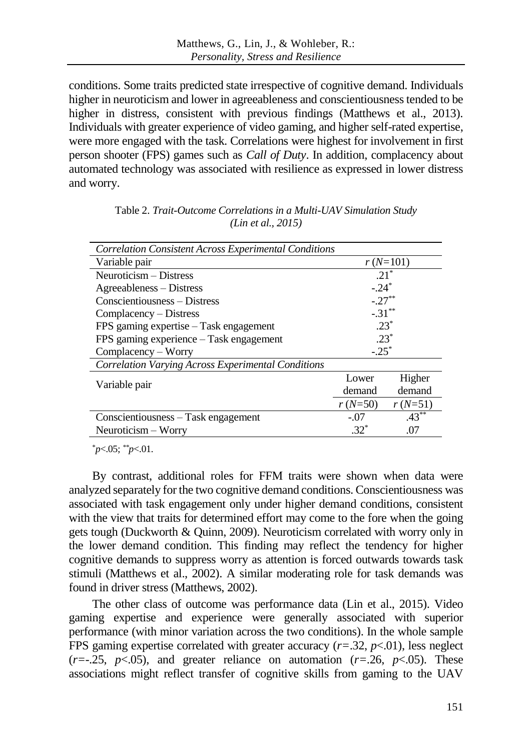conditions. Some traits predicted state irrespective of cognitive demand. Individuals higher in neuroticism and lower in agreeableness and conscientiousness tended to be higher in distress, consistent with previous findings (Matthews et al., 2013). Individuals with greater experience of video gaming, and higher self-rated expertise, were more engaged with the task. Correlations were highest for involvement in first person shooter (FPS) games such as *Call of Duty*. In addition, complacency about automated technology was associated with resilience as expressed in lower distress and worry.

| <b>Correlation Consistent Across Experimental Conditions</b> |            |           |  |  |
|--------------------------------------------------------------|------------|-----------|--|--|
| Variable pair                                                | $r(N=101)$ |           |  |  |
| Neuroticism - Distress                                       | $21*$      |           |  |  |
| Agreeableness – Distress                                     | $-.24*$    |           |  |  |
| Conscientiousness - Distress                                 | $-.27***$  |           |  |  |
| Complacency – Distress                                       | $-.31***$  |           |  |  |
| FPS gaming expertise - Task engagement                       | $.23*$     |           |  |  |
| FPS gaming experience – Task engagement                      | $.23*$     |           |  |  |
| Complacency - Worry                                          | $-.25*$    |           |  |  |
| Correlation Varying Across Experimental Conditions           |            |           |  |  |
|                                                              | Lower      | Higher    |  |  |
| Variable pair                                                | demand     | demand    |  |  |
|                                                              | $r(N=50)$  | $r(N=51)$ |  |  |
| Conscientiousness - Task engagement                          | $-.07$     | $.43***$  |  |  |
| Neuroticism – Worry                                          | $.32*$     | .07       |  |  |

Table 2. *Trait-Outcome Correlations in a Multi-UAV Simulation Study (Lin et al., 2015)*

\**p*<.05; *\*\*p*<.01.

By contrast, additional roles for FFM traits were shown when data were analyzed separately for the two cognitive demand conditions. Conscientiousness was associated with task engagement only under higher demand conditions, consistent with the view that traits for determined effort may come to the fore when the going gets tough (Duckworth & Quinn, 2009). Neuroticism correlated with worry only in the lower demand condition. This finding may reflect the tendency for higher cognitive demands to suppress worry as attention is forced outwards towards task stimuli (Matthews et al., 2002). A similar moderating role for task demands was found in driver stress (Matthews, 2002).

The other class of outcome was performance data (Lin et al., 2015). Video gaming expertise and experience were generally associated with superior performance (with minor variation across the two conditions). In the whole sample FPS gaming expertise correlated with greater accuracy (*r=*.32, *p*<.01), less neglect  $(r=-.25, p<.05)$ , and greater reliance on automation  $(r=.26, p<.05)$ . These associations might reflect transfer of cognitive skills from gaming to the UAV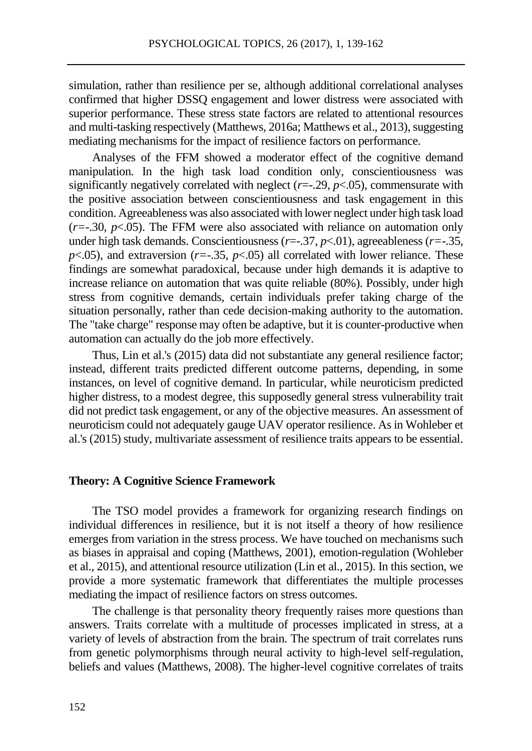simulation, rather than resilience per se, although additional correlational analyses confirmed that higher DSSQ engagement and lower distress were associated with superior performance. These stress state factors are related to attentional resources and multi-tasking respectively (Matthews, 2016a; Matthews et al., 2013), suggesting mediating mechanisms for the impact of resilience factors on performance.

Analyses of the FFM showed a moderator effect of the cognitive demand manipulation. In the high task load condition only, conscientiousness was significantly negatively correlated with neglect  $(r=-.29, p<.05)$ , commensurate with the positive association between conscientiousness and task engagement in this condition. Agreeableness was also associated with lower neglect under high task load  $(r=-.30, p<-.05)$ . The FFM were also associated with reliance on automation only under high task demands. Conscientiousness (*r*=-.37, *p*<.01), agreeableness (*r=*-.35,  $p$ <.05), and extraversion ( $r$ =-.35,  $p$ <.05) all correlated with lower reliance. These findings are somewhat paradoxical, because under high demands it is adaptive to increase reliance on automation that was quite reliable (80%). Possibly, under high stress from cognitive demands, certain individuals prefer taking charge of the situation personally, rather than cede decision-making authority to the automation. The "take charge" response may often be adaptive, but it is counter-productive when automation can actually do the job more effectively.

Thus, Lin et al.'s (2015) data did not substantiate any general resilience factor; instead, different traits predicted different outcome patterns, depending, in some instances, on level of cognitive demand. In particular, while neuroticism predicted higher distress, to a modest degree, this supposedly general stress vulnerability trait did not predict task engagement, or any of the objective measures. An assessment of neuroticism could not adequately gauge UAV operator resilience. As in Wohleber et al.'s (2015) study, multivariate assessment of resilience traits appears to be essential.

#### **Theory: A Cognitive Science Framework**

The TSO model provides a framework for organizing research findings on individual differences in resilience, but it is not itself a theory of how resilience emerges from variation in the stress process. We have touched on mechanisms such as biases in appraisal and coping (Matthews, 2001), emotion-regulation (Wohleber et al., 2015), and attentional resource utilization (Lin et al., 2015). In this section, we provide a more systematic framework that differentiates the multiple processes mediating the impact of resilience factors on stress outcomes.

The challenge is that personality theory frequently raises more questions than answers. Traits correlate with a multitude of processes implicated in stress, at a variety of levels of abstraction from the brain. The spectrum of trait correlates runs from genetic polymorphisms through neural activity to high-level self-regulation, beliefs and values (Matthews, 2008). The higher-level cognitive correlates of traits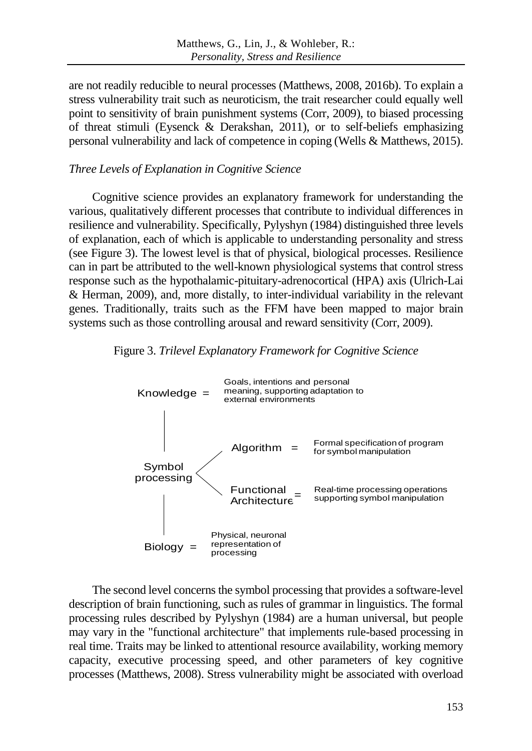are not readily reducible to neural processes (Matthews, 2008, 2016b). To explain a stress vulnerability trait such as neuroticism, the trait researcher could equally well point to sensitivity of brain punishment systems (Corr, 2009), to biased processing of threat stimuli (Eysenck & Derakshan, 2011), or to self-beliefs emphasizing personal vulnerability and lack of competence in coping (Wells & Matthews, 2015).

# *Three Levels of Explanation in Cognitive Science*

Cognitive science provides an explanatory framework for understanding the various, qualitatively different processes that contribute to individual differences in resilience and vulnerability. Specifically, Pylyshyn (1984) distinguished three levels of explanation, each of which is applicable to understanding personality and stress (see Figure 3). The lowest level is that of physical, biological processes. Resilience can in part be attributed to the well-known physiological systems that control stress response such as the hypothalamic-pituitary-adrenocortical (HPA) axis (Ulrich-Lai & Herman, 2009), and, more distally, to inter-individual variability in the relevant genes. Traditionally, traits such as the FFM have been mapped to major brain systems such as those controlling arousal and reward sensitivity (Corr, 2009).





The second level concerns the symbol processing that provides a software-level description of brain functioning, such as rules of grammar in linguistics. The formal processing rules described by Pylyshyn (1984) are a human universal, but people may vary in the "functional architecture" that implements rule-based processing in real time. Traits may be linked to attentional resource availability, working memory capacity, executive processing speed, and other parameters of key cognitive processes (Matthews, 2008). Stress vulnerability might be associated with overload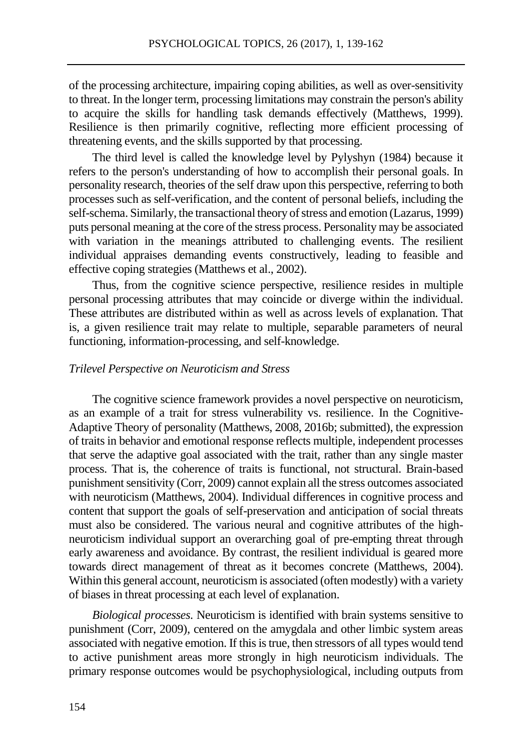of the processing architecture, impairing coping abilities, as well as over-sensitivity to threat. In the longer term, processing limitations may constrain the person's ability to acquire the skills for handling task demands effectively (Matthews, 1999). Resilience is then primarily cognitive, reflecting more efficient processing of threatening events, and the skills supported by that processing.

The third level is called the knowledge level by Pylyshyn (1984) because it refers to the person's understanding of how to accomplish their personal goals. In personality research, theories of the self draw upon this perspective, referring to both processes such as self-verification, and the content of personal beliefs, including the self-schema. Similarly, the transactional theory of stress and emotion (Lazarus, 1999) puts personal meaning at the core of the stress process. Personality may be associated with variation in the meanings attributed to challenging events. The resilient individual appraises demanding events constructively, leading to feasible and effective coping strategies (Matthews et al., 2002).

Thus, from the cognitive science perspective, resilience resides in multiple personal processing attributes that may coincide or diverge within the individual. These attributes are distributed within as well as across levels of explanation. That is, a given resilience trait may relate to multiple, separable parameters of neural functioning, information-processing, and self-knowledge.

#### *Trilevel Perspective on Neuroticism and Stress*

The cognitive science framework provides a novel perspective on neuroticism, as an example of a trait for stress vulnerability vs. resilience. In the Cognitive-Adaptive Theory of personality (Matthews, 2008, 2016b; submitted), the expression of traits in behavior and emotional response reflects multiple, independent processes that serve the adaptive goal associated with the trait, rather than any single master process. That is, the coherence of traits is functional, not structural. Brain-based punishment sensitivity (Corr, 2009) cannot explain all the stress outcomes associated with neuroticism (Matthews, 2004). Individual differences in cognitive process and content that support the goals of self-preservation and anticipation of social threats must also be considered. The various neural and cognitive attributes of the highneuroticism individual support an overarching goal of pre-empting threat through early awareness and avoidance. By contrast, the resilient individual is geared more towards direct management of threat as it becomes concrete (Matthews, 2004). Within this general account, neuroticism is associated (often modestly) with a variety of biases in threat processing at each level of explanation.

*Biological processes.* Neuroticism is identified with brain systems sensitive to punishment (Corr, 2009), centered on the amygdala and other limbic system areas associated with negative emotion. If this istrue, then stressors of all types would tend to active punishment areas more strongly in high neuroticism individuals. The primary response outcomes would be psychophysiological, including outputs from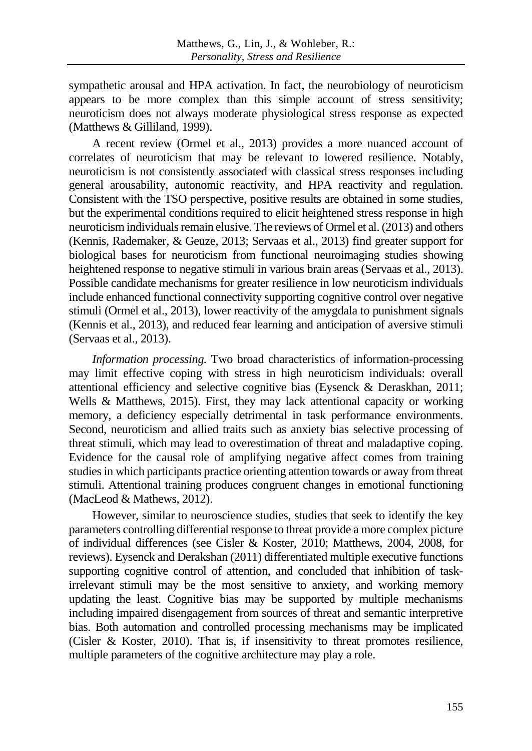sympathetic arousal and HPA activation. In fact, the neurobiology of neuroticism appears to be more complex than this simple account of stress sensitivity; neuroticism does not always moderate physiological stress response as expected (Matthews & Gilliland, 1999).

A recent review (Ormel et al., 2013) provides a more nuanced account of correlates of neuroticism that may be relevant to lowered resilience. Notably, neuroticism is not consistently associated with classical stress responses including general arousability, autonomic reactivity, and HPA reactivity and regulation. Consistent with the TSO perspective, positive results are obtained in some studies, but the experimental conditions required to elicit heightened stress response in high neuroticism individuals remain elusive. The reviews of Ormel et al. (2013) and others (Kennis, Rademaker, & Geuze, 2013; Servaas et al., 2013) find greater support for biological bases for neuroticism from functional neuroimaging studies showing heightened response to negative stimuli in various brain areas (Servaas et al., 2013). Possible candidate mechanisms for greater resilience in low neuroticism individuals include enhanced functional connectivity supporting cognitive control over negative stimuli (Ormel et al., 2013), lower reactivity of the amygdala to punishment signals (Kennis et al., 2013), and reduced fear learning and anticipation of aversive stimuli (Servaas et al., 2013).

*Information processing.* Two broad characteristics of information-processing may limit effective coping with stress in high neuroticism individuals: overall attentional efficiency and selective cognitive bias (Eysenck & Deraskhan, 2011; Wells & Matthews, 2015). First, they may lack attentional capacity or working memory, a deficiency especially detrimental in task performance environments. Second, neuroticism and allied traits such as anxiety bias selective processing of threat stimuli, which may lead to overestimation of threat and maladaptive coping. Evidence for the causal role of amplifying negative affect comes from training studies in which participants practice orienting attention towards or away from threat stimuli. Attentional training produces congruent changes in emotional functioning (MacLeod & Mathews, 2012).

However, similar to neuroscience studies, studies that seek to identify the key parameters controlling differential response to threat provide a more complex picture of individual differences (see Cisler & Koster, 2010; Matthews, 2004, 2008, for reviews). Eysenck and Derakshan (2011) differentiated multiple executive functions supporting cognitive control of attention, and concluded that inhibition of taskirrelevant stimuli may be the most sensitive to anxiety, and working memory updating the least. Cognitive bias may be supported by multiple mechanisms including impaired disengagement from sources of threat and semantic interpretive bias. Both automation and controlled processing mechanisms may be implicated (Cisler & Koster, 2010). That is, if insensitivity to threat promotes resilience, multiple parameters of the cognitive architecture may play a role.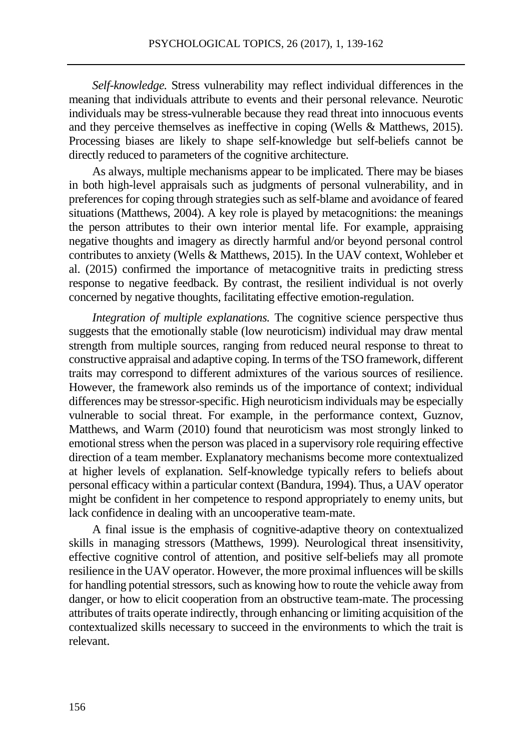*Self-knowledge.* Stress vulnerability may reflect individual differences in the meaning that individuals attribute to events and their personal relevance. Neurotic individuals may be stress-vulnerable because they read threat into innocuous events and they perceive themselves as ineffective in coping (Wells & Matthews, 2015). Processing biases are likely to shape self-knowledge but self-beliefs cannot be directly reduced to parameters of the cognitive architecture.

As always, multiple mechanisms appear to be implicated. There may be biases in both high-level appraisals such as judgments of personal vulnerability, and in preferences for coping through strategies such as self-blame and avoidance of feared situations (Matthews, 2004). A key role is played by metacognitions: the meanings the person attributes to their own interior mental life. For example, appraising negative thoughts and imagery as directly harmful and/or beyond personal control contributes to anxiety (Wells & Matthews, 2015). In the UAV context, Wohleber et al. (2015) confirmed the importance of metacognitive traits in predicting stress response to negative feedback. By contrast, the resilient individual is not overly concerned by negative thoughts, facilitating effective emotion-regulation.

*Integration of multiple explanations.* The cognitive science perspective thus suggests that the emotionally stable (low neuroticism) individual may draw mental strength from multiple sources, ranging from reduced neural response to threat to constructive appraisal and adaptive coping. In terms of the TSO framework, different traits may correspond to different admixtures of the various sources of resilience. However, the framework also reminds us of the importance of context; individual differences may be stressor-specific. High neuroticism individuals may be especially vulnerable to social threat. For example, in the performance context, Guznov, Matthews, and Warm (2010) found that neuroticism was most strongly linked to emotional stress when the person was placed in a supervisory role requiring effective direction of a team member. Explanatory mechanisms become more contextualized at higher levels of explanation. Self-knowledge typically refers to beliefs about personal efficacy within a particular context (Bandura, 1994). Thus, a UAV operator might be confident in her competence to respond appropriately to enemy units, but lack confidence in dealing with an uncooperative team-mate.

A final issue is the emphasis of cognitive-adaptive theory on contextualized skills in managing stressors (Matthews, 1999). Neurological threat insensitivity, effective cognitive control of attention, and positive self-beliefs may all promote resilience in the UAV operator. However, the more proximal influences will be skills for handling potential stressors, such as knowing how to route the vehicle away from danger, or how to elicit cooperation from an obstructive team-mate. The processing attributes of traits operate indirectly, through enhancing or limiting acquisition of the contextualized skills necessary to succeed in the environments to which the trait is relevant.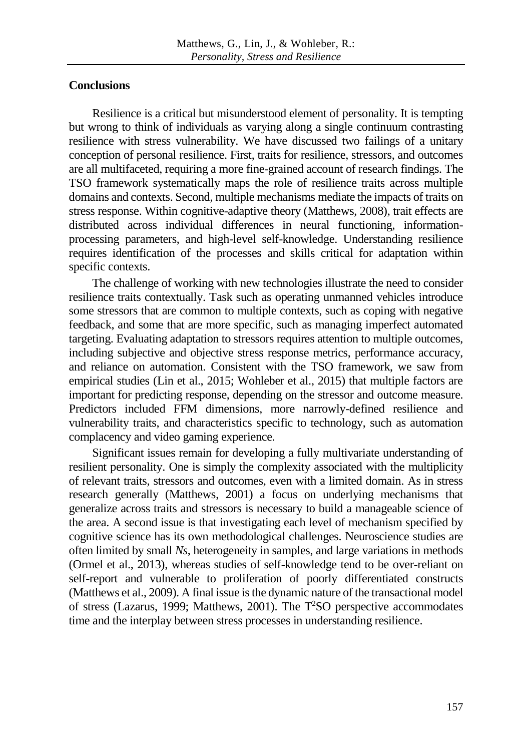# **Conclusions**

Resilience is a critical but misunderstood element of personality. It is tempting but wrong to think of individuals as varying along a single continuum contrasting resilience with stress vulnerability. We have discussed two failings of a unitary conception of personal resilience. First, traits for resilience, stressors, and outcomes are all multifaceted, requiring a more fine-grained account of research findings. The TSO framework systematically maps the role of resilience traits across multiple domains and contexts. Second, multiple mechanisms mediate the impacts of traits on stress response. Within cognitive-adaptive theory (Matthews, 2008), trait effects are distributed across individual differences in neural functioning, informationprocessing parameters, and high-level self-knowledge. Understanding resilience requires identification of the processes and skills critical for adaptation within specific contexts.

The challenge of working with new technologies illustrate the need to consider resilience traits contextually. Task such as operating unmanned vehicles introduce some stressors that are common to multiple contexts, such as coping with negative feedback, and some that are more specific, such as managing imperfect automated targeting. Evaluating adaptation to stressors requires attention to multiple outcomes, including subjective and objective stress response metrics, performance accuracy, and reliance on automation. Consistent with the TSO framework, we saw from empirical studies (Lin et al., 2015; Wohleber et al., 2015) that multiple factors are important for predicting response, depending on the stressor and outcome measure. Predictors included FFM dimensions, more narrowly-defined resilience and vulnerability traits, and characteristics specific to technology, such as automation complacency and video gaming experience.

Significant issues remain for developing a fully multivariate understanding of resilient personality. One is simply the complexity associated with the multiplicity of relevant traits, stressors and outcomes, even with a limited domain. As in stress research generally (Matthews, 2001) a focus on underlying mechanisms that generalize across traits and stressors is necessary to build a manageable science of the area. A second issue is that investigating each level of mechanism specified by cognitive science has its own methodological challenges. Neuroscience studies are often limited by small *Ns*, heterogeneity in samples, and large variations in methods (Ormel et al., 2013), whereas studies of self-knowledge tend to be over-reliant on self-report and vulnerable to proliferation of poorly differentiated constructs (Matthews et al., 2009). A final issue is the dynamic nature of the transactional model of stress (Lazarus, 1999; Matthews, 2001). The T <sup>2</sup>SO perspective accommodates time and the interplay between stress processes in understanding resilience.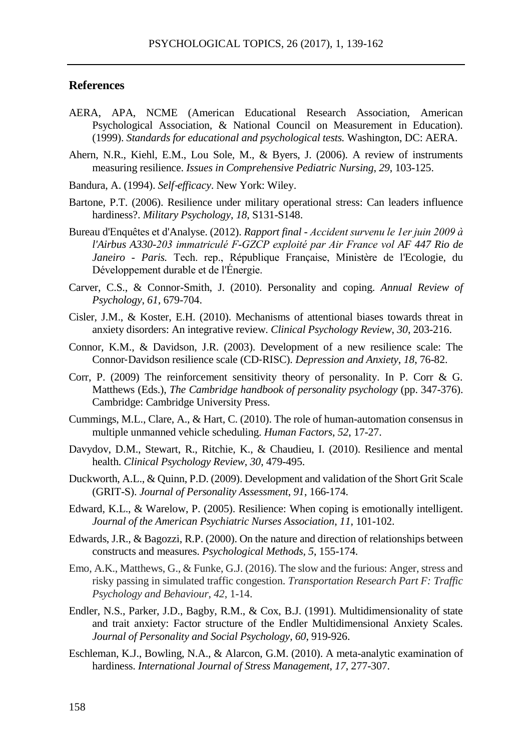#### **References**

- AERA, APA, NCME (American Educational Research Association, American Psychological Association, & National Council on Measurement in Education). (1999). *Standards for educational and psychological tests.* Washington, DC: AERA.
- Ahern, N.R., Kiehl, E.M., Lou Sole, M., & Byers, J. (2006). A review of instruments measuring resilience. *Issues in Comprehensive Pediatric Nursing*, *29*, 103-125.
- Bandura, A. (1994). *Self-efficacy*. New York: Wiley.
- Bartone, P.T. (2006). Resilience under military operational stress: Can leaders influence hardiness?. *Military Psychology*, *18*, S131-S148.
- Bureau d'Enquêtes et d'Analyse. (2012). *Rapport final - Accident survenu le 1er juin 2009 à l'Airbus A330-203 immatriculé F-GZCP exploité par Air France vol AF 447 Rio de Janeiro - Paris.* Tech. rep., République Française, Ministère de l'Ecologie, du Développement durable et de l'Énergie.
- Carver, C.S., & Connor-Smith, J. (2010). Personality and coping. *Annual Review of Psychology*, *61*, 679-704.
- Cisler, J.M., & Koster, E.H. (2010). Mechanisms of attentional biases towards threat in anxiety disorders: An integrative review. *Clinical Psychology Review*, *30*, 203-216.
- Connor, K.M., & Davidson, J.R. (2003). Development of a new resilience scale: The Connor‐Davidson resilience scale (CD‐RISC). *Depression and Anxiety*, *18*, 76-82.
- Corr, P. (2009) The reinforcement sensitivity theory of personality. In P. Corr & G. Matthews (Eds.), *The Cambridge handbook of personality psychology* (pp. 347-376). Cambridge: Cambridge University Press.
- Cummings, M.L., Clare, A., & Hart, C. (2010). The role of human-automation consensus in multiple unmanned vehicle scheduling. *Human Factors*, *52*, 17-27.
- Davydov, D.M., Stewart, R., Ritchie, K., & Chaudieu, I. (2010). Resilience and mental health. *Clinical Psychology Review*, *30*, 479-495.
- Duckworth, A.L., & Quinn, P.D. (2009). Development and validation of the Short Grit Scale (GRIT-S). *Journal of Personality Assessment*, *91*, 166-174.
- Edward, K.L., & Warelow, P. (2005). Resilience: When coping is emotionally intelligent. *Journal of the American Psychiatric Nurses Association*, *11*, 101-102.
- Edwards, J.R., & Bagozzi, R.P. (2000). On the nature and direction of relationships between constructs and measures. *Psychological Methods, 5*, 155-174.
- Emo, A.K., Matthews, G., & Funke, G.J. (2016). The slow and the furious: Anger, stress and risky passing in simulated traffic congestion. *Transportation Research Part F: Traffic Psychology and Behaviour*, *42*, 1-14.
- Endler, N.S., Parker, J.D., Bagby, R.M., & Cox, B.J. (1991). Multidimensionality of state and trait anxiety: Factor structure of the Endler Multidimensional Anxiety Scales. *Journal of Personality and Social Psychology*, *60*, 919-926.
- Eschleman, K.J., Bowling, N.A., & Alarcon, G.M. (2010). A meta-analytic examination of hardiness. *International Journal of Stress Management*, *17*, 277-307.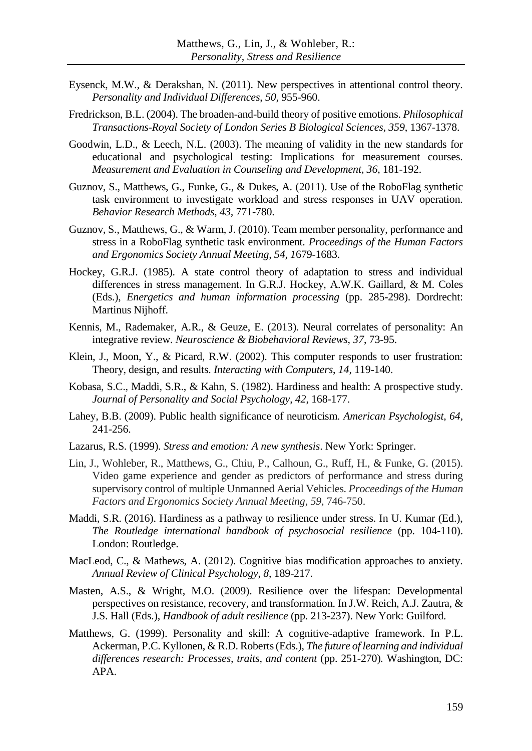- Eysenck, M.W., & Derakshan, N. (2011). New perspectives in attentional control theory. *Personality and Individual Differences*, *50,* 955-960.
- Fredrickson, B.L. (2004). The broaden-and-build theory of positive emotions. *Philosophical Transactions-Royal Society of London Series B Biological Sciences*, *359*, 1367-1378.
- Goodwin, L.D., & Leech, N.L. (2003). The meaning of validity in the new standards for educational and psychological testing: Implications for measurement courses. *Measurement and Evaluation in Counseling and Development*, *36*, 181-192.
- Guznov, S., Matthews, G., Funke, G., & Dukes, A. (2011). Use of the RoboFlag synthetic task environment to investigate workload and stress responses in UAV operation. *Behavior Research Methods, 43,* 771-780.
- Guznov, S., Matthews, G., & Warm, J. (2010). Team member personality, performance and stress in a RoboFlag synthetic task environment. *Proceedings of the Human Factors and Ergonomics Society Annual Meeting, 54, 1*679-1683.
- Hockey, G.R.J. (1985). A state control theory of adaptation to stress and individual differences in stress management. In G.R.J. Hockey, A.W.K. Gaillard, & M. Coles (Eds.), *Energetics and human information processing* (pp. 285-298). Dordrecht: Martinus Nijhoff.
- Kennis, M., Rademaker, A.R., & Geuze, E. (2013). Neural correlates of personality: An integrative review. *Neuroscience & Biobehavioral Reviews*, *37*, 73-95.
- Klein, J., Moon, Y., & Picard, R.W. (2002). This computer responds to user frustration: Theory, design, and results. *Interacting with Computers*, *14*, 119-140.
- Kobasa, S.C., Maddi, S.R., & Kahn, S. (1982). Hardiness and health: A prospective study. *Journal of Personality and Social Psychology*, *42*, 168-177.
- Lahey, B.B. (2009). Public health significance of neuroticism. *American Psychologist*, *64*, 241-256.
- Lazarus, R.S. (1999). *Stress and emotion: A new synthesis*. New York: Springer.
- Lin, J., Wohleber, R., Matthews, G., Chiu, P., Calhoun, G., Ruff, H., & Funke, G. (2015). Video game experience and gender as predictors of performance and stress during supervisory control of multiple Unmanned Aerial Vehicles. *Proceedings of the Human Factors and Ergonomics Society Annual Meeting*, *59*, 746-750.
- Maddi, S.R. (2016). Hardiness as a pathway to resilience under stress. In U. Kumar (Ed.), *The Routledge international handbook of psychosocial resilience* (pp. 104-110). London: Routledge.
- MacLeod, C., & Mathews, A. (2012). Cognitive bias modification approaches to anxiety. *Annual Review of Clinical Psychology*, *8*, 189-217.
- Masten, A.S., & Wright, M.O. (2009). Resilience over the lifespan: Developmental perspectives on resistance, recovery, and transformation. In J.W. Reich, A.J. Zautra, & J.S. Hall (Eds.), *Handbook of adult resilience* (pp. 213-237). New York: Guilford.
- Matthews, G. (1999). Personality and skill: A cognitive-adaptive framework. In P.L. Ackerman, P.C. Kyllonen, & R.D. Roberts (Eds.), *The future of learning and individual differences research: Processes, traits, and content* (pp. 251-270)*.* Washington, DC: APA.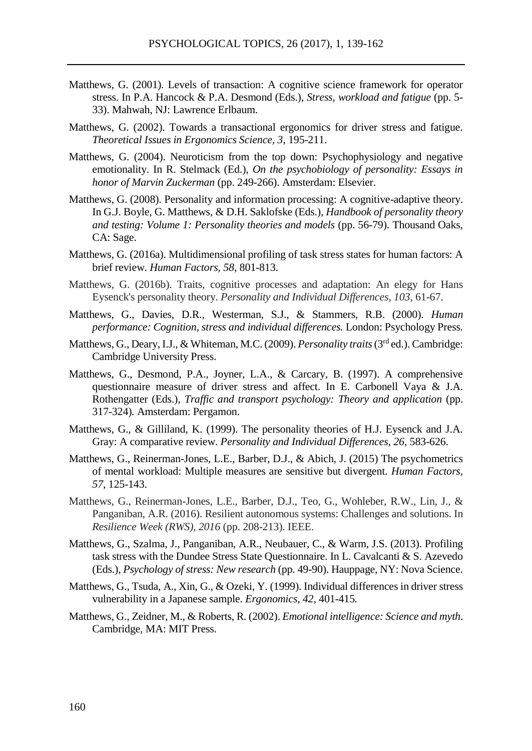- Matthews, G. (2001). Levels of transaction: A cognitive science framework for operator stress. In P.A. Hancock & P.A. Desmond (Eds.), *Stress, workload and fatigue* (pp. 5- 33). Mahwah, NJ: Lawrence Erlbaum.
- Matthews, G. (2002). Towards a transactional ergonomics for driver stress and fatigue. *Theoretical Issues in Ergonomics Science, 3,* 195-211.
- Matthews, G. (2004). Neuroticism from the top down: Psychophysiology and negative emotionality. In R. Stelmack (Ed.), *On the psychobiology of personality: Essays in honor of Marvin Zuckerman* (pp. 249-266). Amsterdam: Elsevier.
- Matthews, G. (2008). Personality and information processing: A cognitive-adaptive theory. In G.J. Boyle, G. Matthews, & D.H. Saklofske (Eds.), *Handbook of personality theory and testing: Volume 1: Personality theories and models* (pp. 56-79). Thousand Oaks, CA: Sage.
- Matthews, G. (2016a). Multidimensional profiling of task stress states for human factors: A brief review. *Human Factors, 58*, 801-813.
- Matthews, G. (2016b). Traits, cognitive processes and adaptation: An elegy for Hans Eysenck's personality theory. *Personality and Individual Differences*, *103*, 61-67.
- Matthews, G., Davies, D.R., Westerman, S.J., & Stammers, R.B. (2000). *Human performance: Cognition, stress and individual differences.* London: Psychology Press.
- Matthews, G., Deary, I.J., & Whiteman, M.C. (2009). *Personality traits*(3rd ed.). Cambridge: Cambridge University Press.
- Matthews, G., Desmond, P.A., Joyner, L.A., & Carcary, B. (1997). A comprehensive questionnaire measure of driver stress and affect. In E. Carbonell Vaya & J.A. Rothengatter (Eds.), *Traffic and transport psychology: Theory and application* (pp. 317-324)*.* Amsterdam: Pergamon.
- Matthews, G., & Gilliland, K. (1999). The personality theories of H.J. Eysenck and J.A. Gray: A comparative review. *Personality and Individual Differences, 26,* 583-626.
- Matthews, G., Reinerman-Jones, L.E., Barber, D.J., & Abich, J. (2015) The psychometrics of mental workload: Multiple measures are sensitive but divergent. *Human Factors, 57*, 125-143.
- Matthews, G., Reinerman-Jones, L.E., Barber, D.J., Teo, G., Wohleber, R.W., Lin, J., & Panganiban, A.R. (2016). Resilient autonomous systems: Challenges and solutions. In *Resilience Week (RWS), 2016* (pp. 208-213). IEEE.
- Matthews, G., Szalma, J., Panganiban, A.R., Neubauer, C., & Warm, J.S. (2013). Profiling task stress with the Dundee Stress State Questionnaire. In L. Cavalcanti & S. Azevedo (Eds.), *Psychology of stress: New research* (pp. 49-90). Hauppage, NY: Nova Science.
- Matthews, G., Tsuda, A., Xin, G., & Ozeki, Y. (1999). Individual differences in driver stress vulnerability in a Japanese sample. *Ergonomics, 42,* 401-415*.*
- Matthews, G., Zeidner, M., & Roberts, R. (2002). *Emotional intelligence: Science and myth*. Cambridge, MA: MIT Press.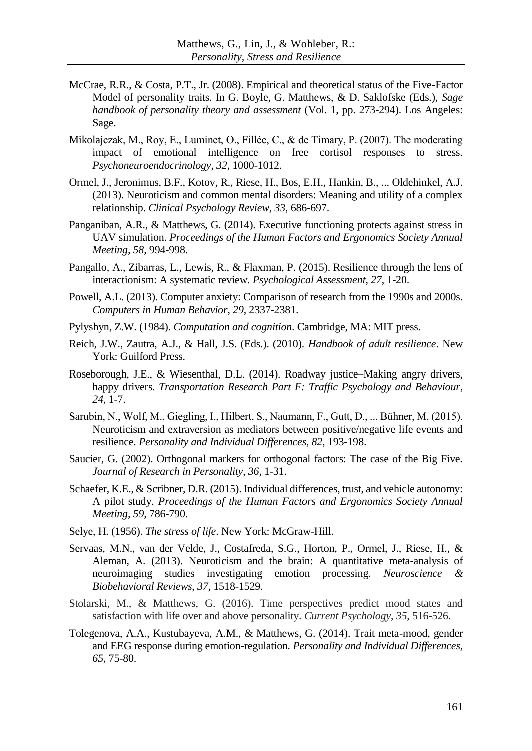- McCrae, R.R., & Costa, P.T., Jr. (2008). Empirical and theoretical status of the Five-Factor Model of personality traits. In G. Boyle, G. Matthews, & D. Saklofske (Eds.), *Sage handbook of personality theory and assessment* (Vol. 1, pp. 273-294). Los Angeles: Sage.
- Mikolajczak, M., Roy, E., Luminet, O., Fillée, C., & de Timary, P. (2007). The moderating impact of emotional intelligence on free cortisol responses to stress. *Psychoneuroendocrinology*, *32*, 1000-1012.
- Ormel, J., Jeronimus, B.F., Kotov, R., Riese, H., Bos, E.H., Hankin, B., ... Oldehinkel, A.J. (2013). Neuroticism and common mental disorders: Meaning and utility of a complex relationship. *Clinical Psychology Review*, *33*, 686-697.
- Panganiban, A.R., & Matthews, G. (2014). Executive functioning protects against stress in UAV simulation. *Proceedings of the Human Factors and Ergonomics Society Annual Meeting, 58,* 994-998.
- Pangallo, A., Zibarras, L., Lewis, R., & Flaxman, P. (2015). Resilience through the lens of interactionism: A systematic review. *Psychological Assessment*, *27*, 1-20.
- Powell, A.L. (2013). Computer anxiety: Comparison of research from the 1990s and 2000s. *Computers in Human Behavior*, *29*, 2337-2381.
- Pylyshyn, Z.W. (1984). *Computation and cognition*. Cambridge, MA: MIT press.
- Reich, J.W., Zautra, A.J., & Hall, J.S. (Eds.). (2010). *Handbook of adult resilience*. New York: Guilford Press.
- Roseborough, J.E., & Wiesenthal, D.L. (2014). Roadway justice–Making angry drivers, happy drivers. *Transportation Research Part F: Traffic Psychology and Behaviour*, *24*, 1-7.
- Sarubin, N., Wolf, M., Giegling, I., Hilbert, S., Naumann, F., Gutt, D., ... Bühner, M. (2015). Neuroticism and extraversion as mediators between positive/negative life events and resilience. *Personality and Individual Differences*, *82*, 193-198.
- Saucier, G. (2002). Orthogonal markers for orthogonal factors: The case of the Big Five. *Journal of Research in Personality*, *36*, 1-31.
- Schaefer, K.E., & Scribner, D.R. (2015). Individual differences, trust, and vehicle autonomy: A pilot study. *Proceedings of the Human Factors and Ergonomics Society Annual Meeting, 59,* 786-790.
- Selye, H. (1956). *The stress of life*. New York: McGraw-Hill.
- Servaas, M.N., van der Velde, J., Costafreda, S.G., Horton, P., Ormel, J., Riese, H., & Aleman, A. (2013). Neuroticism and the brain: A quantitative meta-analysis of neuroimaging studies investigating emotion processing. *Neuroscience & Biobehavioral Reviews*, *37*, 1518-1529.
- Stolarski, M., & Matthews, G. (2016). Time perspectives predict mood states and satisfaction with life over and above personality. *Current Psychology*, *35*, 516-526.
- Tolegenova, A.A., Kustubayeva, A.M., & Matthews, G. (2014). Trait meta-mood, gender and EEG response during emotion-regulation. *Personality and Individual Differences, 65,* 75-80.